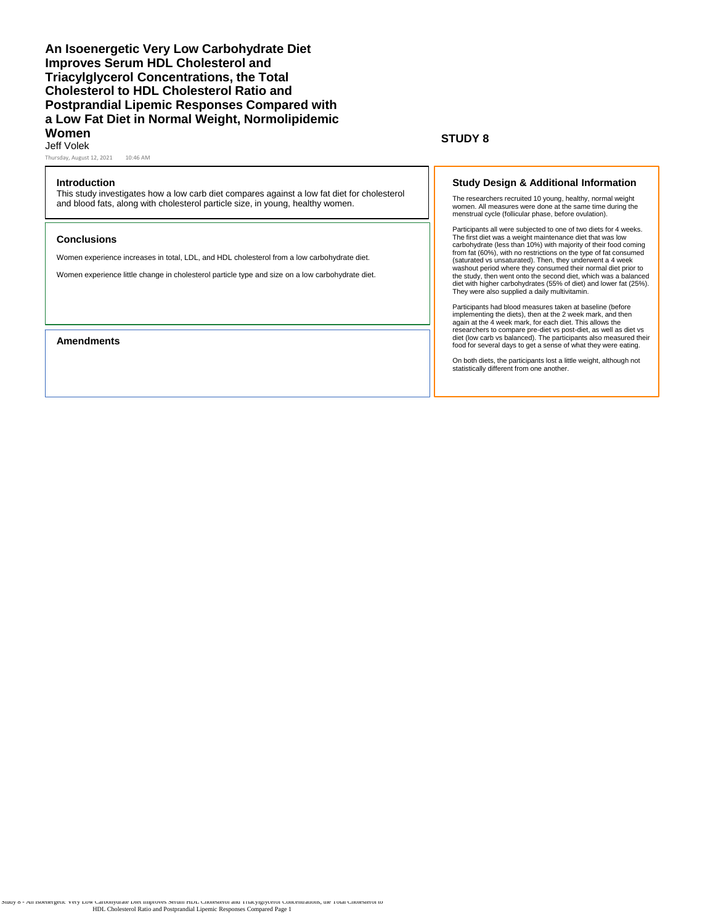**An Isoenergetic Very Low Carbohydrate Diet Improves Serum HDL Cholesterol and Triacylglycerol Concentrations, the Total Cholesterol to HDL Cholesterol Ratio and Postprandial Lipemic Responses Compared with a Low Fat Diet in Normal Weight, Normolipidemic Women**

Jeff Volek

Thursday, August 12, 2021 10:46 AM

# **Introduction**

This study investigates how a low carb diet compares against a low fat diet for cholesterol and blood fats, along with cholesterol particle size, in young, healthy women.

# **Conclusions**

Women experience increases in total, LDL, and HDL cholesterol from a low carbohydrate diet.

Women experience little change in cholesterol particle type and size on a low carbohydrate diet.

# **Amendments**

# **STUDY 8**

# **Study Design & Additional Information**

The researchers recruited 10 young, healthy, normal weight women. All measures were done at the same time during the menstrual cycle (follicular phase, before ovulation).

Participants all were subjected to one of two diets for 4 weeks. The first diet was a weight maintenance diet that was low carbohydrate (less than 10%) with majority of their food coming from fat (60%), with no restrictions on the type of fat consumed (saturated vs unsaturated). Then, they underwent a 4 week washout period where they consumed their normal diet prior to the study, then went onto the second diet, which was a balanced diet with higher carbohydrates (55% of diet) and lower fat (25%). They were also supplied a daily multivitamin.

Participants had blood measures taken at baseline (before implementing the diets), then at the 2 week mark, and then again at the 4 week mark, for each diet. This allows the researchers to compare pre-diet vs post-diet, as well as diet vs diet (low carb vs balanced). The participants also measured their food for several days to get a sense of what they were eating.

On both diets, the participants lost a little weight, although not statistically different from one another.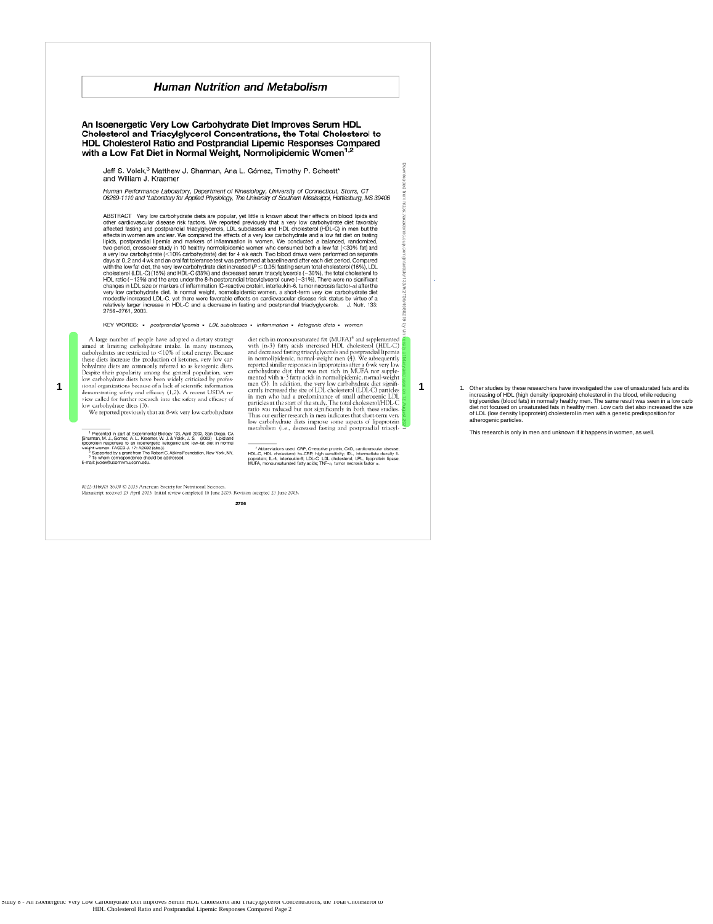# **Human Nutrition and Metabolism**

An Isoenergetic Very Low Carbohydrate Diet Improves Serum HDL Cholesterol and Triacylglycerol Concentrations, the Total Cholesterol to HDL Cholesterol Ratio and Postprandial Lipemic Responses Compared with a Low Fat Diet in Normal Weight, Normolipidemic Women<sup>1,2</sup>

Jeff S. Volek,<sup>3</sup> Matthew J. Sharman, Ana L. Gómez, Timothy P. Scheett<sup>\*</sup> and William J. Kraemer

.<br>Human Performance Laboratory, Department of Kinesiology, University of Connecticut, Storrs, CT<br>06269-1110 and "Laboratory for Applied Physiology, The University of Southern Mississippi, Hattiesburg, MS 39406

ABSTRACT Very low carbohydrate diets are popular, yet little is known about their effects on blood lipids and<br>other cardiovascular disease risk factors. We reported previously that a very low carbohydrate diet favorably<br>a

KEY WORDS: · postprandial lipernia · LDL subclasses · inflammation · ketogenic diets · women

A large number of people have adopted a dietary strategy

Threeworld in part at Experimental Belongy 103, April 2003, San Dega, CA<br>
[Sharman, M. J., Gomez, A. L., Krasmer, W. J., & Volek, J. S. (2003) Lipst and<br>
lipporchein responses to an isotenceptic tentogenic and low-fat diet

0022-3166/03 \$3.00 © 2003 American Society for Nutritional Sciences.<br>Manuscript received 23 April 2003. Initial review completed 16 June 2003. Revision accepted 23 June 2003.

2756

4 Abbreviations used: CRP, C-reactive protein; CVD, cardiovascular disease<br>HDL-C, HDL cholesterol: hs-CRP, high sensitivity; IDL, intermediate density is<br>poprotein; IL-6, interioution-6; LDL-C, LDL cholesterol; LPL, lipopr

sional organizations because of a lack of scientific information that the cause of a lack of scientific information, the causty in adulton, the view low can be such that the section of the state of the state of the state o diet not focused on unsaturated fats in healthy men. Low carb diet also increased the size of LDL (low density lipoprotein) cholesterol in men with a genetic predisposition for atherogenic particles. 1.

This research is only in men and unknown if it happens in women, as well.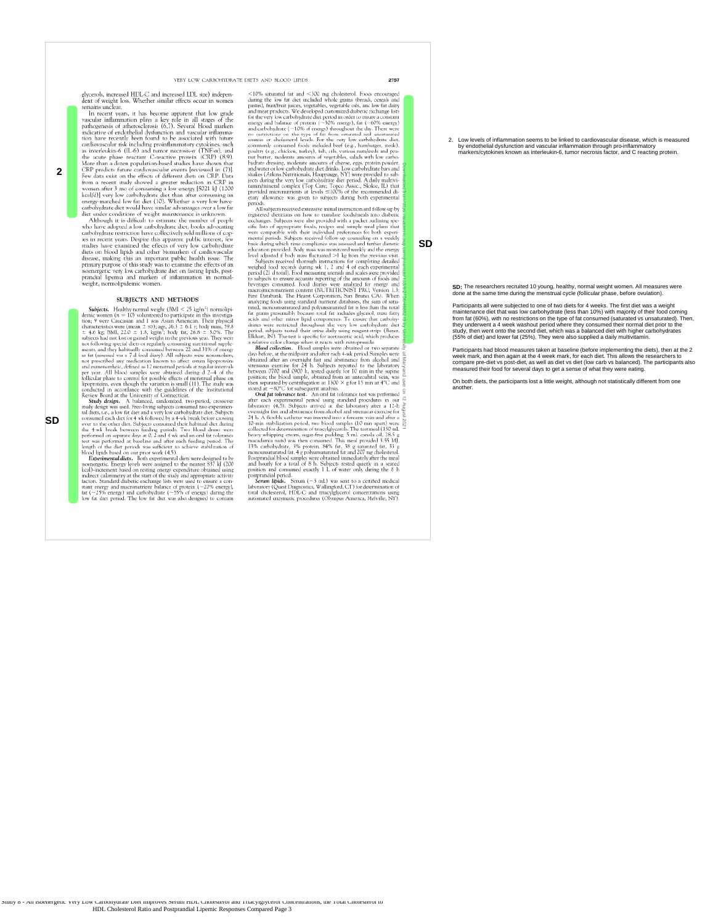glycerols, increased HDL-C and increased LDL size) indepen-<br>dent of weight loss. Whether similar effects occur in women remains unclear.

dent of weight loss. Whether similar effects occur in women<br>remains unclear. In recent years, it has become apparent that low grade<br>vascular inflammation plays a key role in all stages of the<br>parhogenesis of atherecelercs

diet under conditions of weight main<br>teneance is unknown. By the Markondro functions of recolution bare adopted a low carb<br>chydrate diet, books advocating carbohydrate exstriction have onlectively sold millions of coper<br>i

## SUBJECTS AND METHODS

SUBJECTS AND METHODS (Subjects. Healthy normal weight (BMI $<$ 25 kg/m²) normolipidenting women (in = 10) volunteered to particletize in this investigated that a 46 kg. BMI, 22.0 ± 1.8, kg/m²; body far, 26.3 ± 0.1, p.body m

DIETS AND BLOOD LIPIDS 2757<br>2757<br>2757 2757 2005 extended fat and  $\sim 300$  mg cholesterol. Foods encouraged fat and  $\sim 300$  mg cholesterol. To dating the low fat diet included whole grains (breads, coerals and not mean pr

proced our gue very low can<br>conspirat the fermion. A damp mumch complex (Top Care; Topes Assoc, Solido, ID that<br>reansing a main of the sequence of the reason of the sequence<br>of the reason of the sequence was given to whic

2. Low levels of inflammation seems to be linked to cardiovascular disease, which is measured by endothelial dysfunction and vascular inflammation through pro-inflammatory markers/cytokines known as interleukin-6, tumor necrosis factor, and C reacting protein.

**SD**

**SD:** The researchers recruited 10 young, healthy, normal weight women. All measures were done at the same time during the menstrual cycle (follicular phase, before ovulation).

Participants all were subjected to one of two diets for 4 weeks. The first diet was a weight maintenance diet that was low carbohydrate (less than 10%) with majority of their food coming<br>from fat (60%), with no restrictions on the type of fat consumed (saturated vs unsaturated). Then,<br>they underwent a 4 week washo (55% of diet) and lower fat (25%). They were also supplied a daily multivitamin.

Participants had blood measures taken at baseline (before implementing the diets), then at the 2<br>week mark, and then again at the 4 week mark, for each diet. This allows the researchers to<br>compare pre-diet vs post-diet, as measured their food for several days to get a sense of what they were eating.

On both diets, the participants lost a little weight, although not statistically different from one another.

**SD**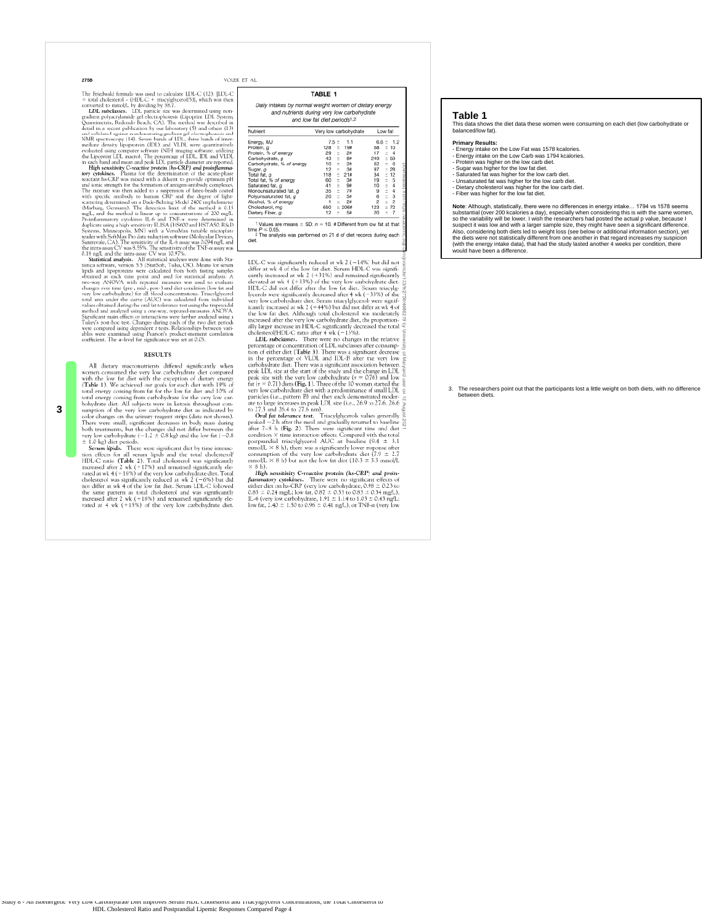**3**

2758 VOLES (1976) VOLES (1976) VOLES (1976) VOLES – cotal choisereoil (II) (LC (12): [LD].<br>C – cotal choisereoil (II) (IV devolving best)<br>glytocrol/5)), which was then conditioned in the condition of the state of the stat

#### **RESULTS**

 $\pmb{ABl}$  dietary mac<br/>nounced significantly when women consumed the very low carbshydrate diet compared with the low fat diet with the very<br>term of distant (Table 1.). We achieved our goals for each diet with<br/> $19\$ 

|          | TABLE 1                                                                                                                             |         |
|----------|-------------------------------------------------------------------------------------------------------------------------------------|---------|
|          | Daily intakes by normal weight women of dietary energy<br>and nutrients during very low carbohydrate<br>and low fat diet periods1.2 |         |
| Nutrient | Very low carbohydrate                                                                                                               | Low fat |

| Enerav, MJ                | $7.5 =$ |    | 1.1          |     | $6.6 \pm 1.2$ |
|---------------------------|---------|----|--------------|-----|---------------|
| Protein, q                | 128     | 土  | 19#          | 68  | $+10$         |
| Protein, % of energy      | 29      | 土  | 24           | 17  | ± 4           |
| Carbohydrate, g           | 43      | ±  | 8#           | 249 | ± 59          |
| Carbohydrate, % of energy | 10      | ±  | 2#           | 62  | ± 6           |
| Sugar, g                  | 12      | 士  | $30^{\circ}$ | 97  | ±28           |
| Total fat, g              | 118     | ÷  | 21#          | 34  | ± 12          |
| Total fat, % of energy    | 60      | ±  | 3#           | 19  | ± 5           |
| Saturated fat, g          | 41      | ±. | 9#           | 10  | ±.<br>4       |
| Monounsaturated fat, a    | 35      | 士  | 7#           | 9   | 士<br>4        |
| Polyunsaturated fat, g    | 20      | ÷  | 5#           | 6   | 3<br>÷.       |
| Alcohol, % of energy      | 1       | ±  | 2#           | 2   | $±$ 2         |
| Cholesterol, mg           | 650     |    | ± 206#       | 123 | $+72$         |
| Dietary Fiber, g          | 12      | ÷  | 5#           | 20  | - 7<br>÷.     |

LDL-C was significantly reduced at wk 2 (-14%) but did not<br>differ at wk 4 of the low fit differ at wk 4 of the low fit differ at when the control can be control. Controlled at when the controlled and not differ a chevared

High sensitivity C-reactive protein (hs-CRP) and proin-**High sensitivity C-reactive protein (hs-CRP) and profilm<br>diffused products of planetary cytokines.** There were no significant effects of<br>either diet on hs-CRP (very low carbohydrate, 0.98  $\pm$  0.23 to<br>0.85  $\pm$  0.24 mg(L

#### **Table 1**

This data shows the diet data these women were consuming on each diet (low carbohydrate or balanced/low fat).

- **Primary Results:**<br>- Energy intake on the Low Eat was 1578 kcalories
- 
- 
- 
- Energy intake on the Low Fat was 1578 kcalories.<br>- Energy intake on the Low Carb was 1794 kcalories.<br>- Protein was higher on the low carb diet.<br>- Sugar was higher for the low fat diet.<br>- Sugar was higher for the low carb
- 

**Note**: Although, statistically, there were no differences in energy intake... 1794 vs 1578 seems<br>substantial (over 200 kcalories a day), especially when considering this is with the same women,<br>so the variability will be the diets were not statistically different from one another in that regard increases my suspicion<br>(with the energy intake data), that had the study lasted another 4 weeks per condition, there<br>would have been a difference.

The researchers point out that the participants lost a little weight on both diets, with no difference between diets. 3.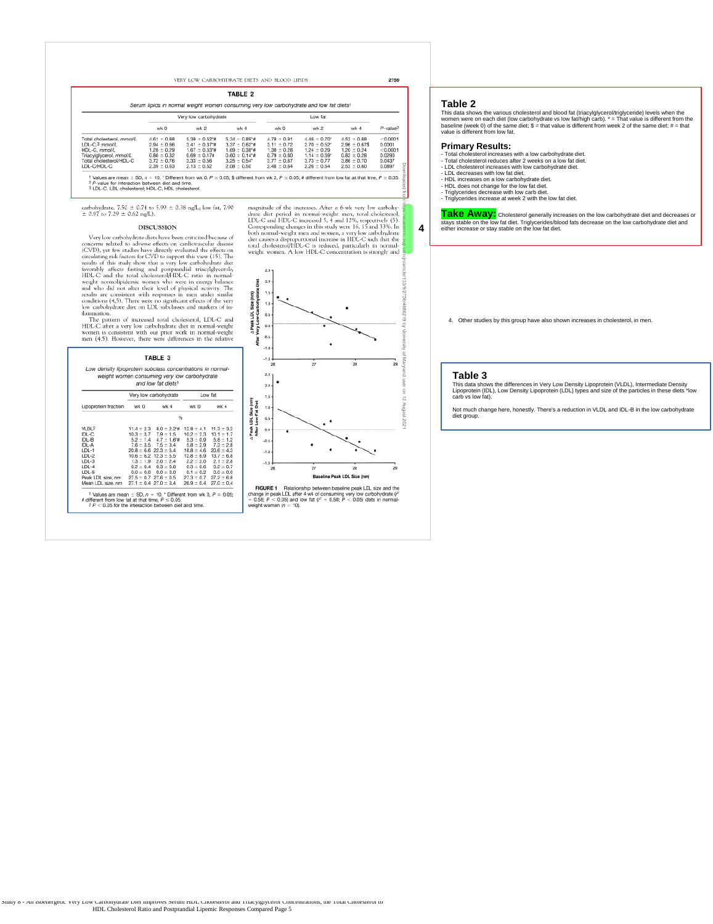VERY LOW CARBOHYDRATE DIETS AND BLOOD LIPIDS \_\_\_\_\_

2759

**4**

| Serum lipids in normal weight women consuming very low carbohydrate and low fat diets1                         |                                                                                                                                                     |                                                                                                                                                                       |                                                                                                                |                                                                                                                                             |                                                                                                                   |                                                              |  |  |  |  |  |
|----------------------------------------------------------------------------------------------------------------|-----------------------------------------------------------------------------------------------------------------------------------------------------|-----------------------------------------------------------------------------------------------------------------------------------------------------------------------|----------------------------------------------------------------------------------------------------------------|---------------------------------------------------------------------------------------------------------------------------------------------|-------------------------------------------------------------------------------------------------------------------|--------------------------------------------------------------|--|--|--|--|--|
|                                                                                                                |                                                                                                                                                     |                                                                                                                                                                       |                                                                                                                | Low fat                                                                                                                                     |                                                                                                                   |                                                              |  |  |  |  |  |
| wk 0                                                                                                           | wk 2                                                                                                                                                | wk 4                                                                                                                                                                  | wk 0                                                                                                           | wk 2                                                                                                                                        | wk 4                                                                                                              | P-value <sup>2</sup>                                         |  |  |  |  |  |
| $4.61 \pm 0.88$<br>$2.94 \pm 0.66$<br>$1.28 \pm 0.29$<br>$0.86 \pm 0.32$<br>$3.72 \pm 0.76$<br>$2.39 \pm 0.63$ | $5.39 \pm 0.52$ <sup>*</sup> #<br>$3.41 \pm 0.37^{\circ}$ #<br>$1.67 \pm 0.33^{\circ}$ #<br>$0.69 \pm 0.17$ #<br>$3.33 \pm 0.56$<br>$2.13 \pm 0.52$ | $5.34 \pm 0.89^{\circ}$ #<br>$3.37 \pm 0.62$ '#<br>$1.69 \pm 0.38$ <sup>**</sup><br>$0.60 \pm 0.14$ <sup>*</sup> #<br>$3.25 \pm 0.54$ <sup>*</sup><br>$2.08 \pm 0.50$ | $4.78 \pm 0.91$<br>$3.11 \pm 0.72$<br>$1.30 \pm 0.28$<br>$0.79 \pm 0.60$<br>$3.77 \pm 0.67$<br>$2.48 \pm 0.64$ | $4.46 \pm 0.70^{\circ}$<br>$2.70 \pm 0.52$ <sup>*</sup><br>$1.24 \pm 0.29$<br>$1.14 \pm 0.59^{\circ}$<br>$3.73 \pm 0.77$<br>$2.26 \pm 0.54$ | $4.53 \pm 0.88$<br>$2.96 \pm 0.67$ \$<br>$1.20 \pm 0.24$<br>$0.82 \pm 0.28$<br>$3.86 \pm 0.70$<br>$2.53 \pm 0.60$ | < 0.0001<br>0.0001<br>< 0.0001<br>0.0290<br>0.0437<br>0.0897 |  |  |  |  |  |
|                                                                                                                |                                                                                                                                                     |                                                                                                                                                                       | IADLE Z<br>Very low carbohydrate                                                                               |                                                                                                                                             |                                                                                                                   |                                                              |  |  |  |  |  |

1 Values are mean  $\pm$  SD,  $n = 10$ ,  $\prime$  Different from wk 0,  $P \le 0.05$ : \$ different from wk 2,  $P \le 0.05$ : # different from low fat at that time,  $P \le 0.05$ . <sup>2</sup> P-value for interaction between diet and time.<br><sup>3</sup> LDL-C, LDL cholesterol; HDL-C, HDL cholesterol.

carbohydrate, 7.50  $\pm$  0.74 to 5.99  $\pm$  0.38 ng/L; low fat, 7.90  $\pm$  0.97 to 7.29  $\pm$  0.62 ng/L).

#### **DISCUSSION**

**DISCUSSION**<br>
Very low carbohydrate diets have been criticized because of concerns related to adverse effects on cardiovascular disease (CCVD), yet few studies have directly evaluated the effects on critical critical crit

#### TABLE 3

Low density lipoprotein subclass concentrations in normalweight women consuming very low carbohydrate

|                            |      | Very low carbohydrate                                         | Low fat                                         |                             |  |
|----------------------------|------|---------------------------------------------------------------|-------------------------------------------------|-----------------------------|--|
| Lipoprotein fraction       | wk 0 | wk 4                                                          | wk 0                                            | wk 4                        |  |
|                            | 96   |                                                               |                                                 |                             |  |
| VLDL <sup>2</sup><br>IDL-C |      | $11.4 \pm 2.3$ $8.0 \pm 2.24$<br>$10.3 \pm 3.7$ $7.9 \pm 1.5$ | $12.8 \pm 4.1$ $11.3 \pm 3.2$<br>$10.2 \pm 2.3$ | $10.1 \pm 1.7$              |  |
| IDL-B                      |      | $5.2 \pm 1.4$ $4.7 \pm 1.6$ **                                |                                                 | $5.3 \pm 0.9$ $5.8 \pm 1.2$ |  |
| IDL-A                      |      | $7.6 \pm 3.5$ $7.5 \pm 3.4$                                   |                                                 | $5.8 \pm 2.9$ $7.3 \pm 2.8$ |  |
| LDL-1                      |      | $20.8 \pm 6.6$ 22.3 $\pm$ 5.4                                 | $18.8 \pm 4.6$                                  | $20.6 \pm 4.3$              |  |
| LDL-2                      |      | $10.6 + 6.2$ $12.3 + 5.5$                                     | $12.8 \pm 6.9$                                  | $13.7 + 6.8$                |  |
| LDL-3                      |      | $1.3 \pm 1.9$ $2.0 \pm 2.4$                                   | $2.2 \pm 2.0$                                   | $2.1 \pm 2.8$               |  |
| LDL-4                      |      | $0.2 \pm 0.4$ $0.3 \pm 0.6$                                   |                                                 | $0.3 \pm 0.6$ $0.2 \pm 0.7$ |  |
| $LDL-5$                    |      | $0.0 \pm 0.0$ $0.0 \pm 0.0$                                   |                                                 | $0.1 \pm 0.2$ $0.0 \pm 0.0$ |  |
| Peak LDL size, nm          |      | $27.5 \pm 0.7$ $27.6 \pm 0.5$                                 | $27.3 \pm 0.7$ $27.2 \pm 6.8$                   |                             |  |
| Mean LDL size, nm          |      | $27.1 \pm 0.4$ $27.0 \pm 0.4$                                 | $26.9 \pm 0.4$ $27.0 \pm 0.4$                   |                             |  |

magnitude of the increases. After a 6-wk very low carbohydate diet period in normal-weight men, total cholesterol, LDL-C and HDL-C increased 5, 4 and 128%, respectively (5). Corresponding changes in this study were 16, 15



**FIGURE 1** Relationship between baseline peak LDL size and the change in peak LDL after 4 wk of consuming very low carbohydrate  $\theta^2$  = 0.58;  $P < 0.05$  and low fat  $\theta^2 = 0.50$ ;  $P < 0.05$ ) diets in normal-<br>weight women

# **Table 2**

This data shows the various cholesterol and blood tat (triacylglycero/Iriglyceride) levels when the<br>women were on each diet (low carbohydrate vs low fat/high carb). \* = That value is different from the<br>baseline (week 0) o

### **Primary Results:**

- Total cholesterol increases with a low carbohydrate diet. Total cholesterol reduces after 2 weeks on a low fat diet.
- LDL cholesterol increases with low carbohydrate diet.
- 
- 
- LDL decreases with low fat diet.<br>- HDL increases on a low carbohydrate diet.<br>- HDL does not change for the low fat diet.<br>- Triglycerides decrease with low carb diet.
- Triglycerides increase at week 2 with the low fat diet.

Take Away: Cholesterol generally increases on the low carbohydrate diet and decreases or<br>stays stable on the low tat diet. Triglycerides/blood fats decrease on the low carbohydrate diet and<br>either increase or stay stable o

4. Other studies by this group have also shown increases in cholesterol, in men.

# **Table 3**

This data shows the differences in Very Low Density Lipoprotein (VLDL), Intermediate Density<br>Lipoprotein (IDL), Low Density Lipoprotein (LDL) types and size of the particles in these diets \*low<br>carb vs low fat).

Not much change here, honestly. There's a reduction in VLDL and IDL-B in the low carbohydrate diet group.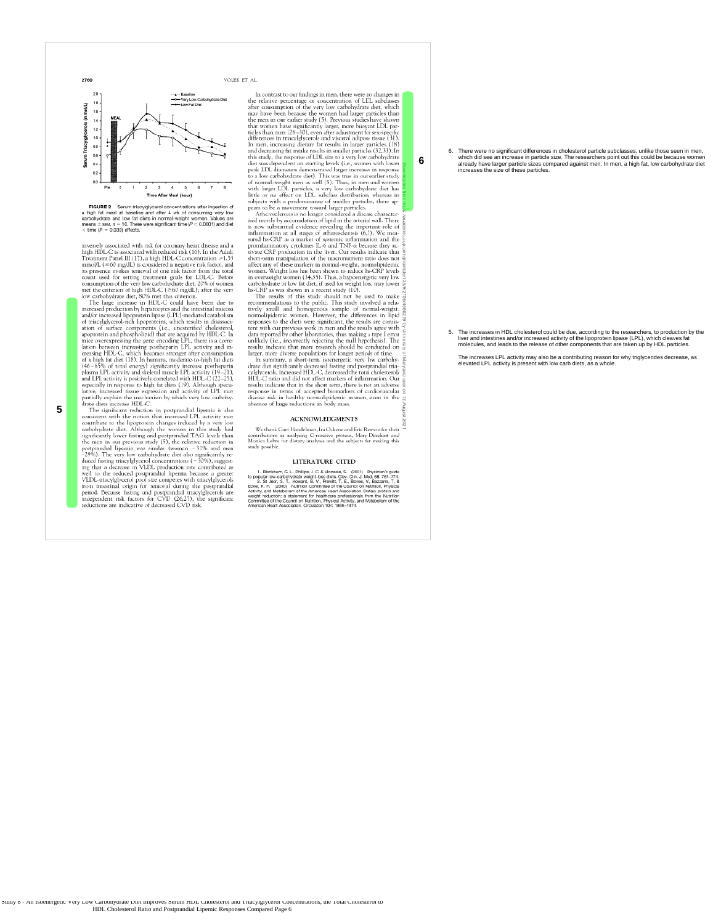

**FIGURE 2** Serum triacy/glycerol concentrations after ingestion of high fat meal at baseline and after 4 wk of consuming very low<br>tarbohydrate and low fat diets in normal-weight women, Values are<br>nears  $\pm$  ssu,  $n = 10$ .

means  $z = \tan, n = 10$ . There were significant time  $\theta^p$  < 0.0001) and diet<br>
x time  $\theta^p = 0.039$  effects.<br>
inversely associated with risk for coronary heart disease and a<br>
high HDL-C is associated with reduced risk (16). I

5

ET AL.<br>
In contrast to our findings in men, there were no changes in<br>
the relative percentage or concentration of LDL subclasses<br>
after consumption of the veyo we arehofts changed and<br>
may have been because the women had

 $6\phantom{a}$ 

### **ACKNOWLEDGMENTS**

### LITERATURE CITED

1. Blackburn, G. L., Philips, J. C. & Morreale, S. (2001) Physician's guide<br>
10 popular low-endorbydote weight-lose distribution (2001, C. D., J. Med. 88: P6-1714<br>
Education Constraints (2001, C. D. D. Med. 88: 2001, Phys

There were no significant differences in cholesterol particle subclasses, unlike those seen in men, which did see an increase in particle size. The researchers point out this could be because women already have larger part

The increases in HDL cholesterol could be due, according to the researchers, to production by the liver and intestines and/or increased activity of the lipoprotein lipase (LPL), which cleaves fat molecules, and leads to th

The increases LPL activity may also be a contributing reason for why triglycerides decrease, as<br>elevated LPL activity is present with low carb diets, as a whole.